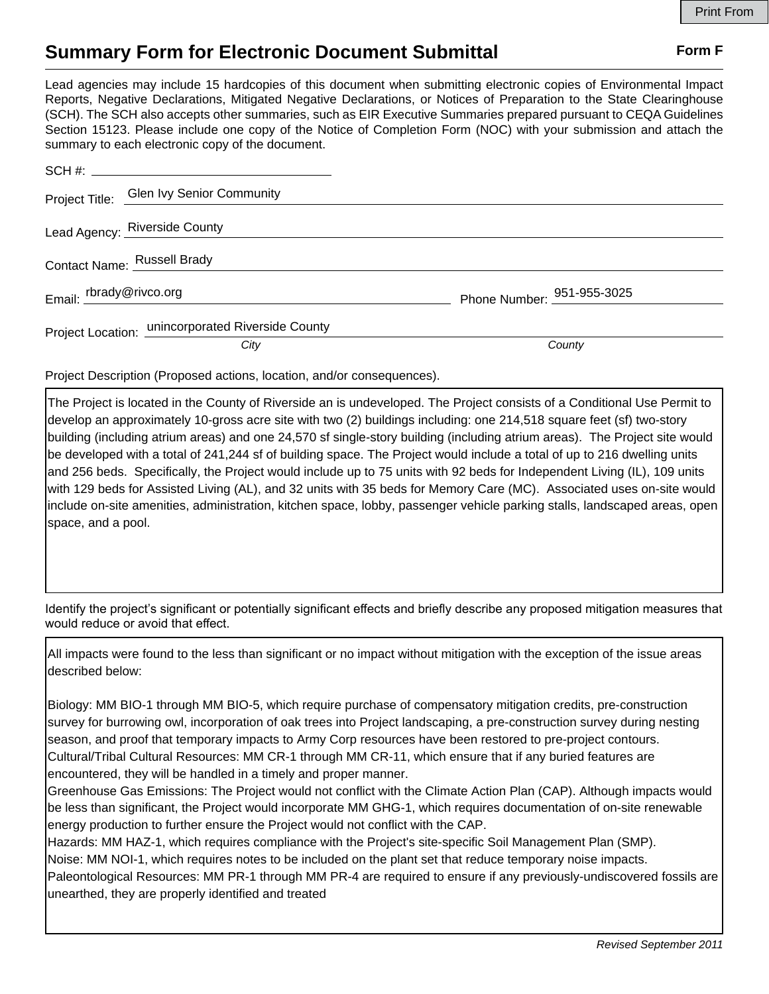## **Summary Form for Electronic Document Submittal Form F Form F**

Lead agencies may include 15 hardcopies of this document when submitting electronic copies of Environmental Impact Reports, Negative Declarations, Mitigated Negative Declarations, or Notices of Preparation to the State Clearinghouse (SCH). The SCH also accepts other summaries, such as EIR Executive Summaries prepared pursuant to CEQA Guidelines Section 15123. Please include one copy of the Notice of Completion Form (NOC) with your submission and attach the summary to each electronic copy of the document.

|                         | Project Title: Glen Ivy Senior Community          |                            |
|-------------------------|---------------------------------------------------|----------------------------|
|                         | Lead Agency: Riverside County                     |                            |
|                         | Contact Name: Russell Brady                       |                            |
| Email: rbrady@rivco.org |                                                   | Phone Number: 951-955-3025 |
|                         | Project Location: unincorporated Riverside County |                            |
|                         | City                                              | County                     |

Project Description (Proposed actions, location, and/or consequences).

The Project is located in the County of Riverside an is undeveloped. The Project consists of a Conditional Use Permit to develop an approximately 10-gross acre site with two (2) buildings including: one 214,518 square feet (sf) two-story building (including atrium areas) and one 24,570 sf single-story building (including atrium areas). The Project site would be developed with a total of 241,244 sf of building space. The Project would include a total of up to 216 dwelling units and 256 beds. Specifically, the Project would include up to 75 units with 92 beds for Independent Living (IL), 109 units with 129 beds for Assisted Living (AL), and 32 units with 35 beds for Memory Care (MC). Associated uses on-site would include on-site amenities, administration, kitchen space, lobby, passenger vehicle parking stalls, landscaped areas, open space, and a pool.

Identify the project's significant or potentially significant effects and briefly describe any proposed mitigation measures that would reduce or avoid that effect.

All impacts were found to the less than significant or no impact without mitigation with the exception of the issue areas described below:

Biology: MM BIO-1 through MM BIO-5, which require purchase of compensatory mitigation credits, pre-construction survey for burrowing owl, incorporation of oak trees into Project landscaping, a pre-construction survey during nesting season, and proof that temporary impacts to Army Corp resources have been restored to pre-project contours. Cultural/Tribal Cultural Resources: MM CR-1 through MM CR-11, which ensure that if any buried features are encountered, they will be handled in a timely and proper manner.

Greenhouse Gas Emissions: The Project would not conflict with the Climate Action Plan (CAP). Although impacts would be less than significant, the Project would incorporate MM GHG-1, which requires documentation of on-site renewable energy production to further ensure the Project would not conflict with the CAP.

Hazards: MM HAZ-1, which requires compliance with the Project's site-specific Soil Management Plan (SMP).

Noise: MM NOI-1, which requires notes to be included on the plant set that reduce temporary noise impacts.

Paleontological Resources: MM PR-1 through MM PR-4 are required to ensure if any previously-undiscovered fossils are unearthed, they are properly identified and treated